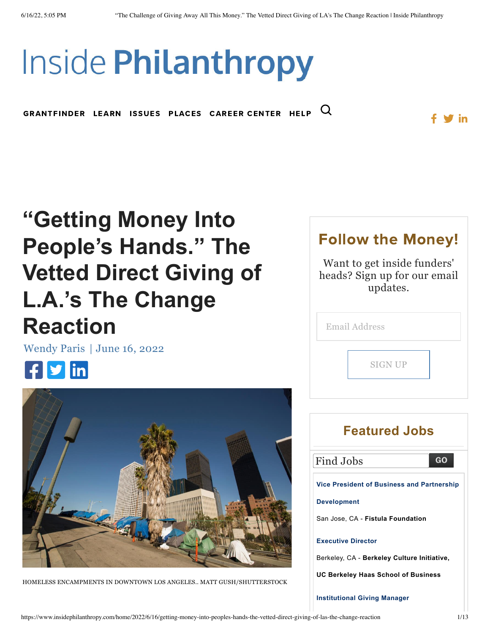# **Inside Philanthropy**

 $\mathbf Q$ GRANTFINDER [LEARN](https://www.insidephilanthropy.com/learn) ISSUES PLACES [CAREER](http://jobs.insidephilanthropy.com/) CENTER [HELP](https://www.insidephilanthropy.com/help/page)

## **"Getting Money Into People's Hands." The [Vetted Direct Giving of](https://www.insidephilanthropy.com/home/2022/6/16/getting-money-into-peoples-hands-the-vetted-direct-giving-of-las-the-change-reaction) L.A.'s The Change Reaction**

[Wendy](https://www.insidephilanthropy.com/home?author=5a9dec630d9297a08201bd73) Paris | June 16, [2022](https://www.insidephilanthropy.com/home/2022/6/16/getting-money-into-peoples-hands-the-vetted-direct-giving-of-las-the-change-reaction)





HOMELESS ENCAMPMENTS IN DOWNTOWN LOS ANGELES.. MATT GUSH/SHUTTERSTOCK

### Follow the Money! Want to get inside funders'

 $^\prime\,$  in

heads? Sign up for our email updates.

| <b>Email Address</b> |  |
|----------------------|--|
| <b>SIGN UP</b>       |  |
|                      |  |

### **Featured Jobs** Find Jobs GO. **Vice President of Business and Partnership [Development](https://jobs.insidephilanthropy.com/job/vice-president-of-business-and-partnership-development/63924090/22041/)** San Jose, CA - **Fistula Foundation [Executive](https://jobs.insidephilanthropy.com/job/executive-director/63916918/22041/) Director** Berkeley, CA - **Berkeley Culture Initiative, UC Berkeley Haas School of Business**

**[Institutional](https://jobs.insidephilanthropy.com/job/institutional-giving-manager/63916613/22041/) Giving Manager**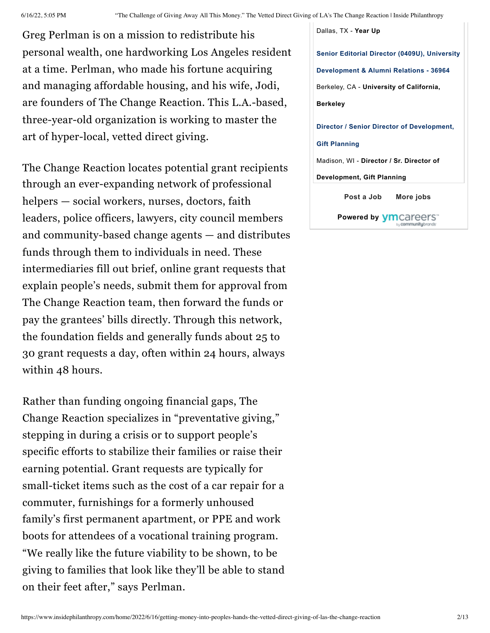Greg Perlman is on a mission to redistribute his personal wealth, one hardworking Los Angeles resident at a time. Perlman, who made his fortune acquiring and managing affordable housing, and his wife, Jodi, are founders of The Change Reaction. This L.A.-based, three-year-old organization is working to master the art of hyper-local, vetted direct giving.

The Change Reaction locates potential grant recipients through an ever-expanding network of professional helpers — social workers, nurses, doctors, faith leaders, police officers, lawyers, city council members and community-based change agents — and distributes funds through them to individuals in need. These intermediaries fill out brief, online grant requests that explain people's needs, submit them for approval from The Change Reaction team, then forward the funds or pay the grantees' bills directly. Through this network, the foundation fields and generally funds about 25 to 30 grant requests a day, often within 24 hours, always within 48 hours.

Rather than funding ongoing financial gaps, The Change Reaction specializes in "preventative giving," stepping in during a crisis or to support people's specific efforts to stabilize their families or raise their earning potential. Grant requests are typically for small-ticket items such as the cost of a car repair for a commuter, furnishings for a formerly unhoused family's first permanent apartment, or PPE and work boots for attendees of a vocational training program. "We really like the future viability to be shown, to be giving to families that look like they'll be able to stand on their feet after," says Perlman.

[Dallas,](https://jobs.insidephilanthropy.com/job/institutional-giving-manager/63916613/22041/) TX - **Year Up Senior Editorial Director (0409U), University [Development](https://jobs.insidephilanthropy.com/job/senior-editorial-director-0409u-university-development-alumni-relations-36964/63901564/22041/) & Alumni Relations - 36964** Berkeley, CA - **University of California, Berkeley Director / Senior Director of [Development,](https://jobs.insidephilanthropy.com/job/director-senior-director-of-development-gift-planning/63883052/22041/) Gift Planning** Madison, WI - **Director / Sr. Director of Development, Gift Planning [Post](https://jobs.insidephilanthropy.com/employer/post/?site_id=22041) a Job [More](https://jobs.insidephilanthropy.com/jobs/?site_id=22041) jobs Powered by**

bu **communitu**brandi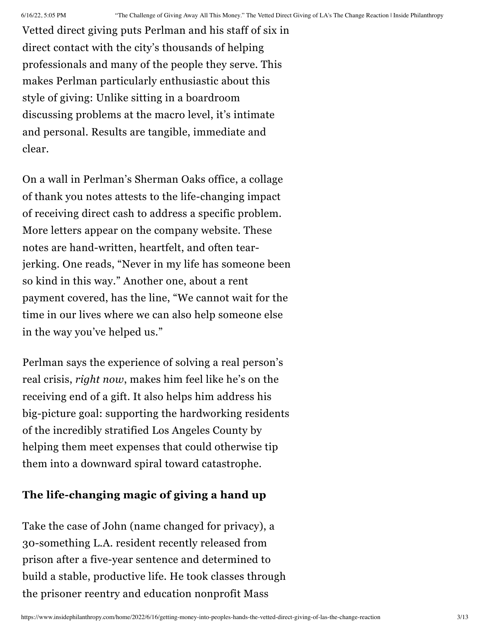Vetted direct giving puts Perlman and his staff of six in direct contact with the city's thousands of helping professionals and many of the people they serve. This makes Perlman particularly enthusiastic about this style of giving: Unlike sitting in a boardroom discussing problems at the macro level, it's intimate and personal. Results are tangible, immediate and clear.

On a wall in Perlman's Sherman Oaks office, a collage of thank you notes attests to the life-changing impact of receiving direct cash to address a specific problem. More letters appear on the company website. These notes are hand-written, heartfelt, and often tearjerking. One reads, "Never in my life has someone been so kind in this way." Another one, about a rent payment covered, has the line, "We cannot wait for the time in our lives where we can also help someone else in the way you've helped us."

Perlman says the experience of solving a real person's real crisis, *right now*, makes him feel like he's on the receiving end of a gift. It also helps him address his big-picture goal: supporting the hardworking residents of the incredibly stratified Los Angeles County by helping them meet expenses that could otherwise tip them into a downward spiral toward catastrophe.

#### **The life-changing magic of giving a hand up**

Take the case of John (name changed for privacy), a 30-something L.A. resident recently released from prison after a five-year sentence and determined to build a stable, productive life. He took classes through the prisoner reentry and education nonprofit Mass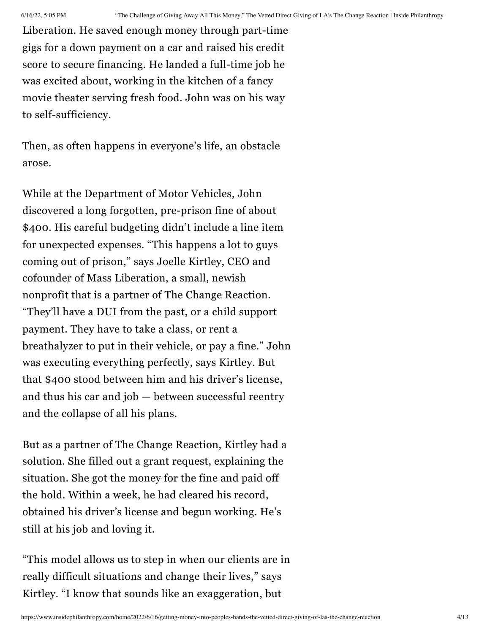Liberation. He saved enough money through part-time gigs for a down payment on a car and raised his credit score to secure financing. He landed a full-time job he was excited about, working in the kitchen of a fancy movie theater serving fresh food. John was on his way to self-sufficiency.

Then, as often happens in everyone's life, an obstacle arose.

While at the Department of Motor Vehicles, John discovered a long forgotten, pre-prison fine of about \$400. His careful budgeting didn't include a line item for unexpected expenses. "This happens a lot to guys coming out of prison," says Joelle Kirtley, CEO and cofounder of Mass Liberation, a small, newish nonprofit that is a partner of The Change Reaction. "They'll have a DUI from the past, or a child support payment. They have to take a class, or rent a breathalyzer to put in their vehicle, or pay a fine." John was executing everything perfectly, says Kirtley. But that \$400 stood between him and his driver's license, and thus his car and job — between successful reentry and the collapse of all his plans.

But as a partner of The Change Reaction, Kirtley had a solution. She filled out a grant request, explaining the situation. She got the money for the fine and paid off the hold. Within a week, he had cleared his record, obtained his driver's license and begun working. He's still at his job and loving it.

"This model allows us to step in when our clients are in really difficult situations and change their lives," says Kirtley. "I know that sounds like an exaggeration, but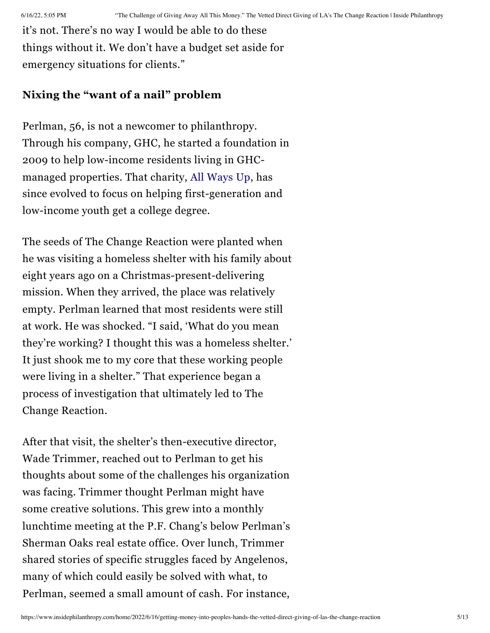it's not. There's no way I would be able to do these things without it. We don't have a budget set aside for emergency situations for clients."

#### **Nixing the "want of a nail" problem**

Perlman, 56, is not a newcomer to philanthropy. Through his company, GHC, he started a foundation in 2009 to help low-income residents living in GHCmanaged properties. That charity, All [Ways](https://www.allwaysup.org/) Up, has since evolved to focus on helping first-generation and low-income youth get a college degree.

The seeds of The Change Reaction were planted when he was visiting a homeless shelter with his family about eight years ago on a Christmas-present-delivering mission. When they arrived, the place was relatively empty. Perlman learned that most residents were still at work. He was shocked. "I said, 'What do you mean they're working? I thought this was a homeless shelter.' It just shook me to my core that these working people were living in a shelter." That experience began a process of investigation that ultimately led to The Change Reaction.

After that visit, the shelter's then-executive director, Wade Trimmer, reached out to Perlman to get his thoughts about some of the challenges his organization was facing. Trimmer thought Perlman might have some creative solutions. This grew into a monthly lunchtime meeting at the P.F. Chang's below Perlman's Sherman Oaks real estate office. Over lunch, Trimmer shared stories of specific struggles faced by Angelenos, many of which could easily be solved with what, to Perlman, seemed a small amount of cash. For instance,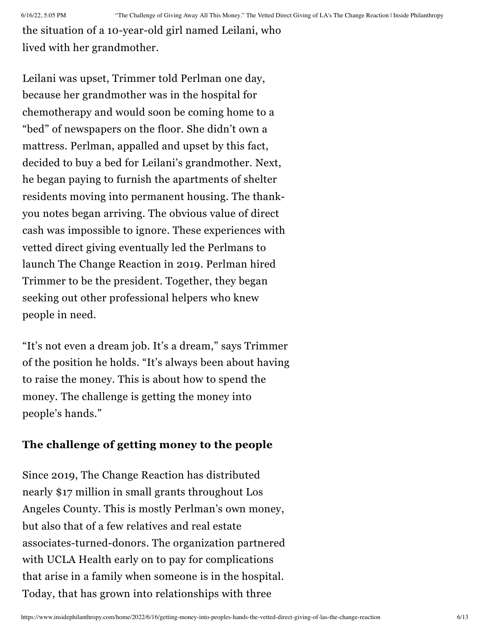the situation of a 10-year-old girl named Leilani, who lived with her grandmother.

Leilani was upset, Trimmer told Perlman one day, because her grandmother was in the hospital for chemotherapy and would soon be coming home to a "bed" of newspapers on the floor. She didn't own a mattress. Perlman, appalled and upset by this fact, decided to buy a bed for Leilani's grandmother. Next, he began paying to furnish the apartments of shelter residents moving into permanent housing. The thankyou notes began arriving. The obvious value of direct cash was impossible to ignore. These experiences with vetted direct giving eventually led the Perlmans to launch The Change Reaction in 2019. Perlman hired Trimmer to be the president. Together, they began seeking out other professional helpers who knew people in need.

"It's not even a dream job. It's a dream," says Trimmer of the position he holds. "It's always been about having to raise the money. This is about how to spend the money. The challenge is getting the money into people's hands."

#### **The challenge of getting money to the people**

Since 2019, The Change Reaction has distributed nearly \$17 million in small grants throughout Los Angeles County. This is mostly Perlman's own money, but also that of a few relatives and real estate associates-turned-donors. The organization partnered with UCLA Health early on to pay for complications that arise in a family when someone is in the hospital. Today, that has grown into relationships with three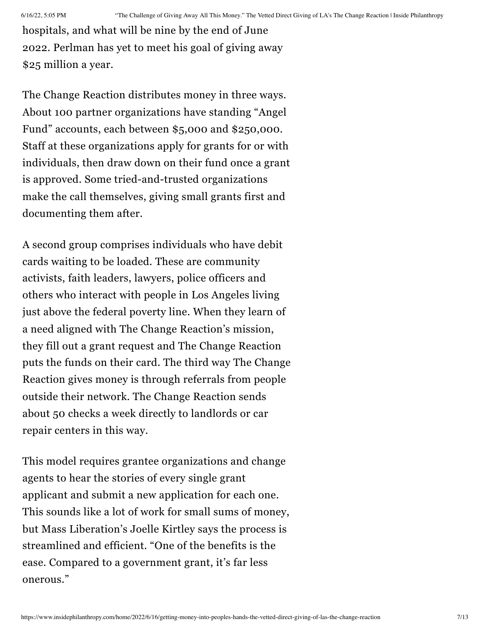hospitals, and what will be nine by the end of June 2022. Perlman has yet to meet his goal of giving away \$25 million a year.

The Change Reaction distributes money in three ways. About 100 partner organizations have standing "Angel Fund" accounts, each between \$5,000 and \$250,000. Staff at these organizations apply for grants for or with individuals, then draw down on their fund once a grant is approved. Some tried-and-trusted organizations make the call themselves, giving small grants first and documenting them after.

A second group comprises individuals who have debit cards waiting to be loaded. These are community activists, faith leaders, lawyers, police officers and others who interact with people in Los Angeles living just above the federal poverty line. When they learn of a need aligned with The Change Reaction's mission, they fill out a grant request and The Change Reaction puts the funds on their card. The third way The Change Reaction gives money is through referrals from people outside their network. The Change Reaction sends about 50 checks a week directly to landlords or car repair centers in this way.

This model requires grantee organizations and change agents to hear the stories of every single grant applicant and submit a new application for each one. This sounds like a lot of work for small sums of money, but Mass Liberation's Joelle Kirtley says the process is streamlined and efficient. "One of the benefits is the ease. Compared to a government grant, it's far less onerous."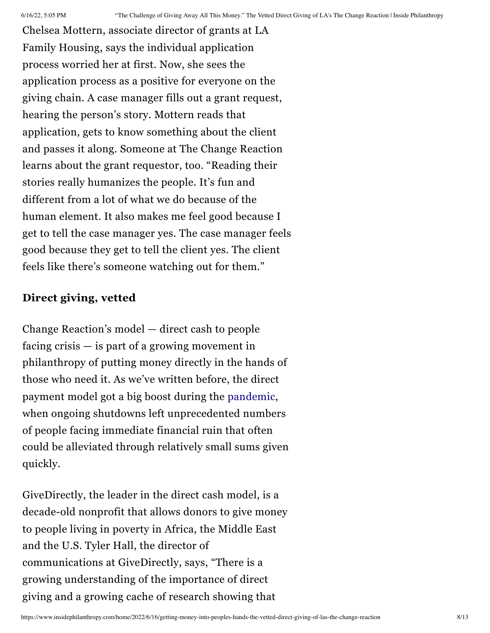Chelsea Mottern, associate director of grants at LA Family Housing, says the individual application process worried her at first. Now, she sees the application process as a positive for everyone on the giving chain. A case manager fills out a grant request, hearing the person's story. Mottern reads that application, gets to know something about the client and passes it along. Someone at The Change Reaction learns about the grant requestor, too. "Reading their stories really humanizes the people. It's fun and different from a lot of what we do because of the human element. It also makes me feel good because I get to tell the case manager yes. The case manager feels good because they get to tell the client yes. The client feels like there's someone watching out for them."

#### **Direct giving, vetted**

Change Reaction's model — direct cash to people facing crisis — is part of a growing movement in philanthropy of putting money directly in the hands of those who need it. As we've written before, the direct payment model got a big boost during the [pandemic](https://www.insidephilanthropy.com/home/2020/6/10/cash-is-king-two-case-studies-on-the-power-of-direct-financial-support-during-crisis), when ongoing shutdowns left unprecedented numbers of people facing immediate financial ruin that often could be alleviated through relatively small sums given quickly.

GiveDirectly, the leader in the direct cash model, is a decade-old nonprofit that allows donors to give money to people living in poverty in Africa, the Middle East and the U.S. Tyler Hall, the director of communications at GiveDirectly, says, "There is a growing understanding of the importance of direct giving and a growing cache of research showing that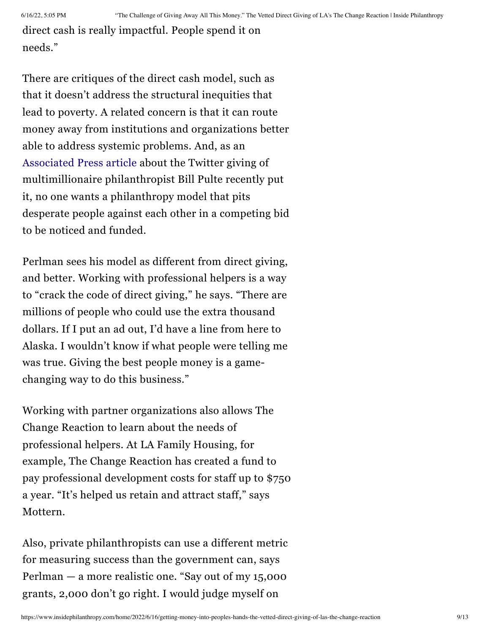direct cash is really impactful. People spend it on needs."

There are critiques of the direct cash model, such as that it doesn't address the structural inequities that lead to poverty. A related concern is that it can route money away from institutions and organizations better able to address systemic problems. And, as an [Associated](https://apnews.com/article/technology-politics-9a4d4a1b1f1811025294541fc357d23b) Press article about the Twitter giving of multimillionaire philanthropist Bill Pulte recently put it, no one wants a philanthropy model that pits desperate people against each other in a competing bid to be noticed and funded.

Perlman sees his model as different from direct giving, and better. Working with professional helpers is a way to "crack the code of direct giving," he says. "There are millions of people who could use the extra thousand dollars. If I put an ad out, I'd have a line from here to Alaska. I wouldn't know if what people were telling me was true. Giving the best people money is a gamechanging way to do this business."

Working with partner organizations also allows The Change Reaction to learn about the needs of professional helpers. At LA Family Housing, for example, The Change Reaction has created a fund to pay professional development costs for staff up to \$750 a year. "It's helped us retain and attract staff," says Mottern.

Also, private philanthropists can use a different metric for measuring success than the government can, says Perlman — a more realistic one. "Say out of my 15,000 grants, 2,000 don't go right. I would judge myself on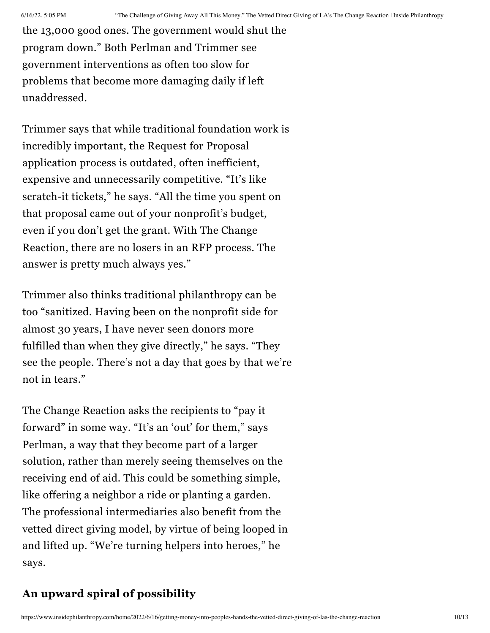the 13,000 good ones. The government would shut the program down." Both Perlman and Trimmer see government interventions as often too slow for problems that become more damaging daily if left unaddressed.

Trimmer says that while traditional foundation work is incredibly important, the Request for Proposal application process is outdated, often inefficient, expensive and unnecessarily competitive. "It's like scratch-it tickets," he says. "All the time you spent on that proposal came out of your nonprofit's budget, even if you don't get the grant. With The Change Reaction, there are no losers in an RFP process. The answer is pretty much always yes."

Trimmer also thinks traditional philanthropy can be too "sanitized. Having been on the nonprofit side for almost 30 years, I have never seen donors more fulfilled than when they give directly," he says. "They see the people. There's not a day that goes by that we're not in tears."

The Change Reaction asks the recipients to "pay it forward" in some way. "It's an 'out' for them," says Perlman, a way that they become part of a larger solution, rather than merely seeing themselves on the receiving end of aid. This could be something simple, like offering a neighbor a ride or planting a garden. The professional intermediaries also benefit from the vetted direct giving model, by virtue of being looped in and lifted up. "We're turning helpers into heroes," he says.

#### **An upward spiral of possibility**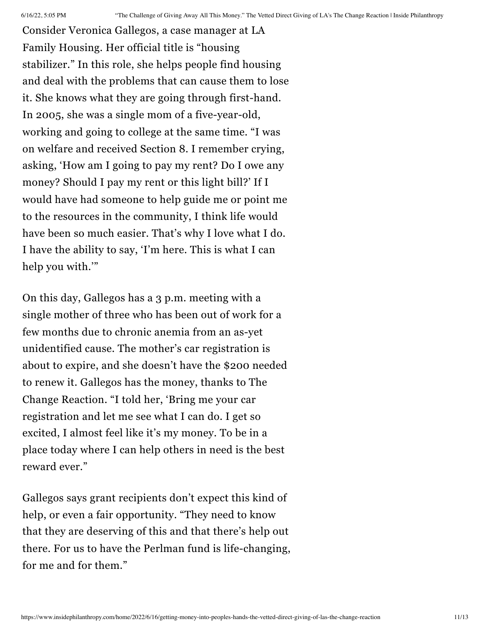Consider Veronica Gallegos, a case manager at LA Family Housing. Her official title is "housing stabilizer." In this role, she helps people find housing and deal with the problems that can cause them to lose it. She knows what they are going through first-hand. In 2005, she was a single mom of a five-year-old, working and going to college at the same time. "I was on welfare and received Section 8. I remember crying, asking, 'How am I going to pay my rent? Do I owe any money? Should I pay my rent or this light bill?' If I would have had someone to help guide me or point me to the resources in the community, I think life would have been so much easier. That's why I love what I do. I have the ability to say, 'I'm here. This is what I can help you with."

On this day, Gallegos has a 3 p.m. meeting with a single mother of three who has been out of work for a few months due to chronic anemia from an as-yet unidentified cause. The mother's car registration is about to expire, and she doesn't have the \$200 needed to renew it. Gallegos has the money, thanks to The Change Reaction. "I told her, 'Bring me your car registration and let me see what I can do. I get so excited, I almost feel like it's my money. To be in a place today where I can help others in need is the best reward ever."

Gallegos says grant recipients don't expect this kind of help, or even a fair opportunity. "They need to know that they are deserving of this and that there's help out there. For us to have the Perlman fund is life-changing, for me and for them."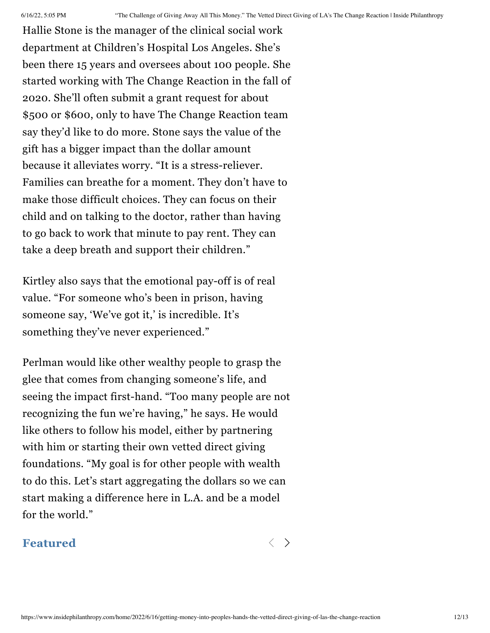Hallie Stone is the manager of the clinical social work department at Children's Hospital Los Angeles. She's been there 15 years and oversees about 100 people. She started working with The Change Reaction in the fall of 2020. She'll often submit a grant request for about \$500 or \$600, only to have The Change Reaction team say they'd like to do more. Stone says the value of the gift has a bigger impact than the dollar amount because it alleviates worry. "It is a stress-reliever. Families can breathe for a moment. They don't have to make those difficult choices. They can focus on their child and on talking to the doctor, rather than having to go back to work that minute to pay rent. They can take a deep breath and support their children."

Kirtley also says that the emotional pay-off is of real value. "For someone who's been in prison, having someone say, 'We've got it,' is incredible. It's something they've never experienced."

Perlman would like other wealthy people to grasp the glee that comes from changing someone's life, and seeing the impact first-hand. "Too many people are not recognizing the fun we're having," he says. He would like others to follow his model, either by partnering with him or starting their own vetted direct giving foundations. "My goal is for other people with wealth to do this. Let's start aggregating the dollars so we can start making a difference here in L.A. and be a model for the world."

#### Featured  $\langle \rangle$